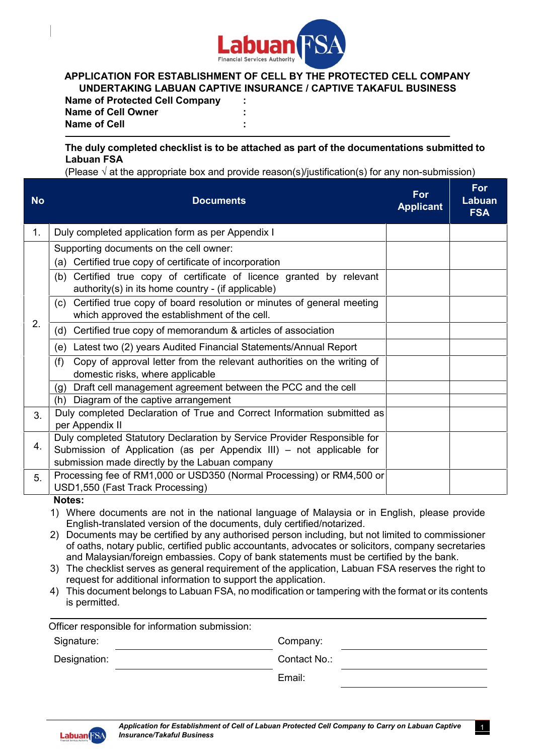

## **APPLICATION FOR ESTABLISHMENT OF CELL BY THE PROTECTED CELL COMPANY UNDERTAKING LABUAN CAPTIVE INSURANCE / CAPTIVE TAKAFUL BUSINESS**

**Name of Protected Cell Company : Name of Cell Owner** :<br> **Name of Cell Name of Cell : \_\_\_\_\_\_\_\_\_\_\_\_\_\_\_\_\_\_\_\_\_\_\_\_\_\_\_\_\_\_\_\_\_\_\_\_\_\_\_\_\_\_\_\_\_\_\_\_\_\_\_\_\_\_\_\_\_\_\_\_\_\_\_\_\_\_\_\_\_\_**

## **The duly completed checklist is to be attached as part of the documentations submitted to Labuan FSA**

(Please  $\sqrt{ }$  at the appropriate box and provide reason(s)/justification(s) for any non-submission)

| <b>Documents</b>                                                                                                            | For<br><b>Applicant</b>                                                                                                                                                                         | For<br>Labuan<br><b>FSA</b> |
|-----------------------------------------------------------------------------------------------------------------------------|-------------------------------------------------------------------------------------------------------------------------------------------------------------------------------------------------|-----------------------------|
| Duly completed application form as per Appendix I                                                                           |                                                                                                                                                                                                 |                             |
| Supporting documents on the cell owner:<br>(a) Certified true copy of certificate of incorporation                          |                                                                                                                                                                                                 |                             |
| (b) Certified true copy of certificate of licence granted by relevant<br>authority(s) in its home country - (if applicable) |                                                                                                                                                                                                 |                             |
| (c) Certified true copy of board resolution or minutes of general meeting<br>which approved the establishment of the cell.  |                                                                                                                                                                                                 |                             |
| (d) Certified true copy of memorandum & articles of association                                                             |                                                                                                                                                                                                 |                             |
| (e) Latest two (2) years Audited Financial Statements/Annual Report                                                         |                                                                                                                                                                                                 |                             |
| Copy of approval letter from the relevant authorities on the writing of<br>(f)<br>domestic risks, where applicable          |                                                                                                                                                                                                 |                             |
| (g) Draft cell management agreement between the PCC and the cell                                                            |                                                                                                                                                                                                 |                             |
| (h) Diagram of the captive arrangement                                                                                      |                                                                                                                                                                                                 |                             |
| Duly completed Declaration of True and Correct Information submitted as<br>per Appendix II                                  |                                                                                                                                                                                                 |                             |
| Duly completed Statutory Declaration by Service Provider Responsible for                                                    |                                                                                                                                                                                                 |                             |
|                                                                                                                             |                                                                                                                                                                                                 |                             |
|                                                                                                                             |                                                                                                                                                                                                 |                             |
| USD1,550 (Fast Track Processing)                                                                                            |                                                                                                                                                                                                 |                             |
|                                                                                                                             | Submission of Application (as per Appendix III) - not applicable for<br>submission made directly by the Labuan company<br>Processing fee of RM1,000 or USD350 (Normal Processing) or RM4,500 or |                             |

**Notes:**

- 1) Where documents are not in the national language of Malaysia or in English, please provide English-translated version of the documents, duly certified/notarized.
- 2) Documents may be certified by any authorised person including, but not limited to commissioner of oaths, notary public, certified public accountants, advocates or solicitors, company secretaries and Malaysian/foreign embassies. Copy of bank statements must be certified by the bank.
- 3) The checklist serves as general requirement of the application, Labuan FSA reserves the right to request for additional information to support the application.
- 4) This document belongs to Labuan FSA, no modification or tampering with the format or its contents is permitted.

| Officer responsible for information submission: |              |  |
|-------------------------------------------------|--------------|--|
| Signature:                                      | Company:     |  |
| Designation:                                    | Contact No.: |  |
|                                                 | Email:       |  |

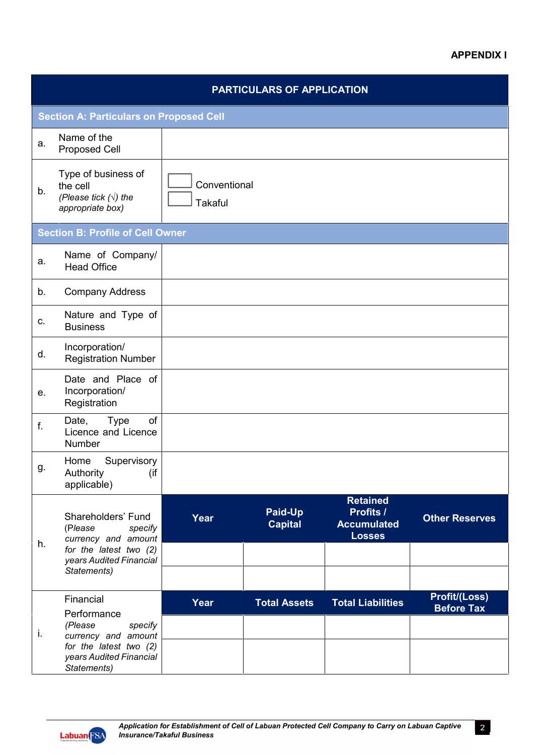## **APPENDIX I**

|    |                                                                                                               |                                | <b>PARTICULARS OF APPLICATION</b> |                                                                     |                                           |
|----|---------------------------------------------------------------------------------------------------------------|--------------------------------|-----------------------------------|---------------------------------------------------------------------|-------------------------------------------|
|    | <b>Section A: Particulars on Proposed Cell</b>                                                                |                                |                                   |                                                                     |                                           |
| a. | Name of the<br><b>Proposed Cell</b>                                                                           |                                |                                   |                                                                     |                                           |
| b. | Type of business of<br>the cell<br>(Please tick $(\sqrt{})$ ) the<br>appropriate box)                         | Conventional<br><b>Takaful</b> |                                   |                                                                     |                                           |
|    | <b>Section B: Profile of Cell Owner</b>                                                                       |                                |                                   |                                                                     |                                           |
| a. | Name of Company/<br><b>Head Office</b>                                                                        |                                |                                   |                                                                     |                                           |
| b. | <b>Company Address</b>                                                                                        |                                |                                   |                                                                     |                                           |
| C. | Nature and Type of<br><b>Business</b>                                                                         |                                |                                   |                                                                     |                                           |
| d. | Incorporation/<br><b>Registration Number</b>                                                                  |                                |                                   |                                                                     |                                           |
| е. | Date and Place of<br>Incorporation/<br>Registration                                                           |                                |                                   |                                                                     |                                           |
| f. | <b>Type</b><br>of<br>Date,<br>Licence and Licence<br>Number                                                   |                                |                                   |                                                                     |                                           |
| g. | Supervisory<br>Home<br>Authority<br>(if<br>applicable)                                                        |                                |                                   |                                                                     |                                           |
| h. | Shareholders' Fund<br>(Please<br>specify<br>currency and amount                                               | Year                           | Paid-Up<br><b>Capital</b>         | <b>Retained</b><br>Profits /<br><b>Accumulated</b><br><b>Losses</b> | <b>Other Reserves</b>                     |
|    | for the latest two (2)<br>years Audited Financial<br>Statements)                                              |                                |                                   |                                                                     |                                           |
|    | Financial<br>Performance                                                                                      | Year                           | <b>Total Assets</b>               | <b>Total Liabilities</b>                                            | <b>Profit/(Loss)</b><br><b>Before Tax</b> |
| İ. | (Please<br>specify<br>currency and amount<br>for the latest two (2)<br>years Audited Financial<br>Statements) |                                |                                   |                                                                     |                                           |

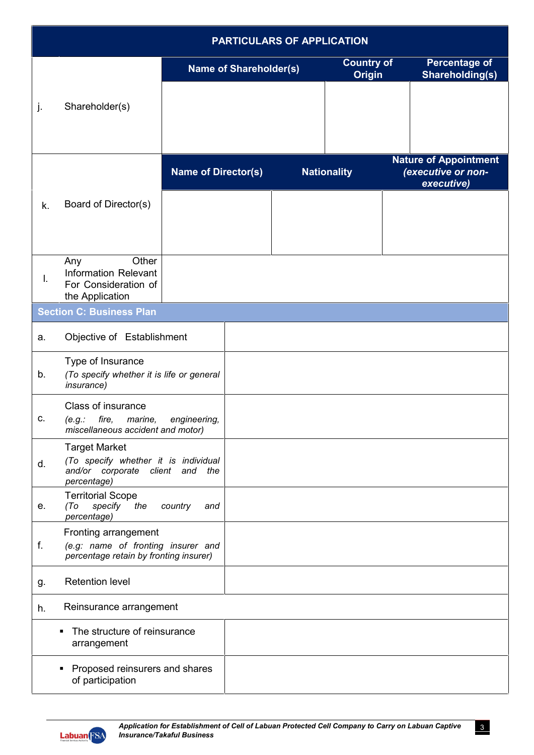|    |                                                                                                                |                            |                               | <b>PARTICULARS OF APPLICATION</b> |                                    |                                                                  |
|----|----------------------------------------------------------------------------------------------------------------|----------------------------|-------------------------------|-----------------------------------|------------------------------------|------------------------------------------------------------------|
|    |                                                                                                                |                            | <b>Name of Shareholder(s)</b> |                                   | <b>Country of</b><br><b>Origin</b> | <b>Percentage of</b><br><b>Shareholding(s)</b>                   |
| j. | Shareholder(s)                                                                                                 |                            |                               |                                   |                                    |                                                                  |
|    |                                                                                                                |                            |                               |                                   |                                    |                                                                  |
|    |                                                                                                                | <b>Name of Director(s)</b> |                               |                                   | <b>Nationality</b>                 | <b>Nature of Appointment</b><br>(executive or non-<br>executive) |
| k. | Board of Director(s)                                                                                           |                            |                               |                                   |                                    |                                                                  |
| I. | Other<br>Any<br><b>Information Relevant</b><br>For Consideration of<br>the Application                         |                            |                               |                                   |                                    |                                                                  |
|    | <b>Section C: Business Plan</b>                                                                                |                            |                               |                                   |                                    |                                                                  |
| a. | Objective of Establishment                                                                                     |                            |                               |                                   |                                    |                                                                  |
| b. | Type of Insurance<br>(To specify whether it is life or general<br><i>insurance)</i>                            |                            |                               |                                   |                                    |                                                                  |
| c. | Class of insurance<br>fire,<br>(e.g.:<br>marine,<br>miscellaneous accident and motor)                          | engineering,               |                               |                                   |                                    |                                                                  |
| d. | <b>Target Market</b><br>(To specify whether it is individual<br>and/or corporate client and the<br>percentage) |                            |                               |                                   |                                    |                                                                  |
| е. | <b>Territorial Scope</b><br>(To<br>specify<br>the<br>percentage)                                               | country<br>and             |                               |                                   |                                    |                                                                  |
| f. | Fronting arrangement<br>(e.g: name of fronting insurer and<br>percentage retain by fronting insurer)           |                            |                               |                                   |                                    |                                                                  |
| g. | <b>Retention level</b>                                                                                         |                            |                               |                                   |                                    |                                                                  |
| h. | Reinsurance arrangement                                                                                        |                            |                               |                                   |                                    |                                                                  |
|    | The structure of reinsurance<br>$\blacksquare$<br>arrangement                                                  |                            |                               |                                   |                                    |                                                                  |
|    | Proposed reinsurers and shares<br>٠<br>of participation                                                        |                            |                               |                                   |                                    |                                                                  |

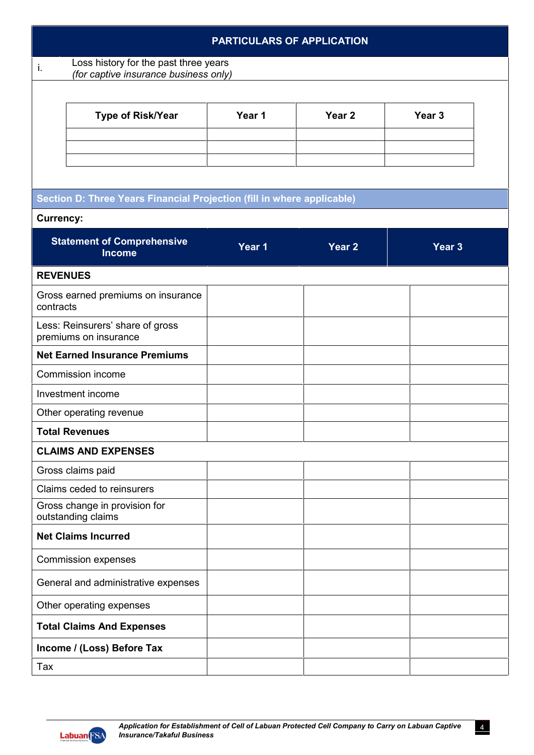|                  |                                                                                | <b>PARTICULARS OF APPLICATION</b> |                   |                   |  |
|------------------|--------------------------------------------------------------------------------|-----------------------------------|-------------------|-------------------|--|
| i.               | Loss history for the past three years<br>(for captive insurance business only) |                                   |                   |                   |  |
|                  |                                                                                |                                   |                   |                   |  |
|                  | <b>Type of Risk/Year</b>                                                       | Year 1                            | Year <sub>2</sub> | Year <sub>3</sub> |  |
|                  |                                                                                |                                   |                   |                   |  |
|                  |                                                                                |                                   |                   |                   |  |
|                  |                                                                                |                                   |                   |                   |  |
|                  | Section D: Three Years Financial Projection (fill in where applicable)         |                                   |                   |                   |  |
| <b>Currency:</b> |                                                                                |                                   |                   |                   |  |
|                  | <b>Statement of Comprehensive</b><br><b>Income</b>                             | Year 1                            | Year <sub>2</sub> | Year <sub>3</sub> |  |
| <b>REVENUES</b>  |                                                                                |                                   |                   |                   |  |
| contracts        | Gross earned premiums on insurance                                             |                                   |                   |                   |  |
|                  | Less: Reinsurers' share of gross<br>premiums on insurance                      |                                   |                   |                   |  |
|                  | <b>Net Earned Insurance Premiums</b>                                           |                                   |                   |                   |  |
|                  | Commission income                                                              |                                   |                   |                   |  |
|                  | Investment income                                                              |                                   |                   |                   |  |
|                  | Other operating revenue                                                        |                                   |                   |                   |  |
|                  | <b>Total Revenues</b>                                                          |                                   |                   |                   |  |
|                  | <b>CLAIMS AND EXPENSES</b>                                                     |                                   |                   |                   |  |
|                  | Gross claims paid                                                              |                                   |                   |                   |  |
|                  | Claims ceded to reinsurers                                                     |                                   |                   |                   |  |
|                  | Gross change in provision for<br>outstanding claims                            |                                   |                   |                   |  |
|                  | <b>Net Claims Incurred</b>                                                     |                                   |                   |                   |  |
|                  | <b>Commission expenses</b>                                                     |                                   |                   |                   |  |
|                  | General and administrative expenses                                            |                                   |                   |                   |  |
|                  | Other operating expenses                                                       |                                   |                   |                   |  |
|                  | <b>Total Claims And Expenses</b>                                               |                                   |                   |                   |  |
|                  | Income / (Loss) Before Tax                                                     |                                   |                   |                   |  |
| Tax              |                                                                                |                                   |                   |                   |  |

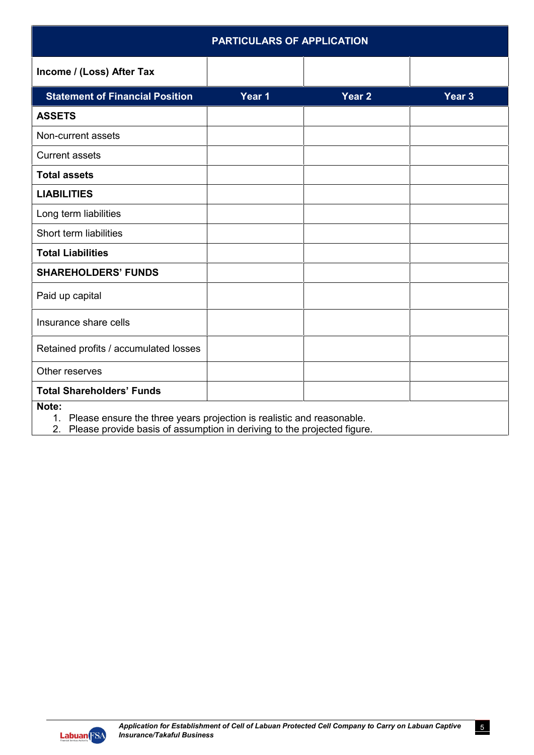| <b>PARTICULARS OF APPLICATION</b>      |        |                   |                   |
|----------------------------------------|--------|-------------------|-------------------|
| Income / (Loss) After Tax              |        |                   |                   |
| <b>Statement of Financial Position</b> | Year 1 | Year <sub>2</sub> | Year <sub>3</sub> |
| <b>ASSETS</b>                          |        |                   |                   |
| Non-current assets                     |        |                   |                   |
| <b>Current assets</b>                  |        |                   |                   |
| <b>Total assets</b>                    |        |                   |                   |
| <b>LIABILITIES</b>                     |        |                   |                   |
| Long term liabilities                  |        |                   |                   |
| Short term liabilities                 |        |                   |                   |
| <b>Total Liabilities</b>               |        |                   |                   |
| <b>SHAREHOLDERS' FUNDS</b>             |        |                   |                   |
| Paid up capital                        |        |                   |                   |
| Insurance share cells                  |        |                   |                   |
| Retained profits / accumulated losses  |        |                   |                   |
| Other reserves                         |        |                   |                   |
| <b>Total Shareholders' Funds</b>       |        |                   |                   |

2. Please provide basis of assumption in deriving to the projected figure.

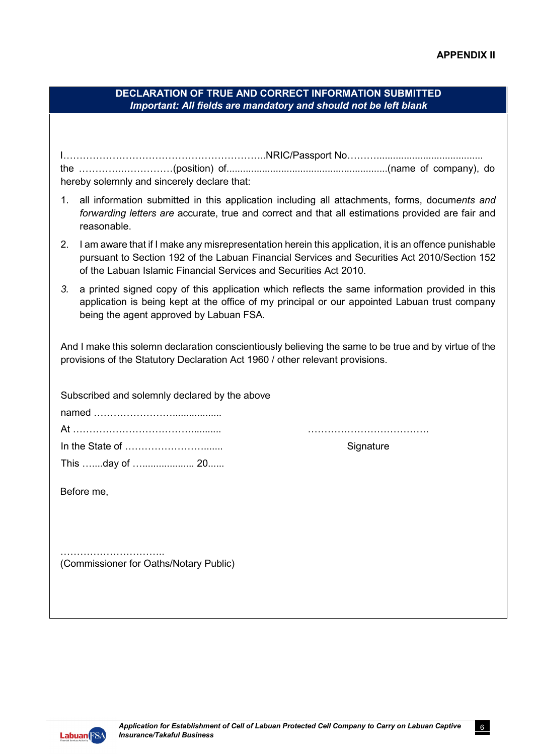6

| <b>DECLARATION OF TRUE AND CORRECT INFORMATION SUBMITTED</b>     |  |
|------------------------------------------------------------------|--|
| Important: All fields are mandatory and should not be left blank |  |
|                                                                  |  |

| hereby solemnly and sincerely declare that: |  |
|---------------------------------------------|--|

- 1. all information submitted in this application including all attachments, forms, docum*ents and forwarding letters are* accurate, true and correct and that all estimations provided are fair and reasonable.
- 2. I am aware that if I make any misrepresentation herein this application, it is an offence punishable pursuant to Section 192 of the Labuan Financial Services and Securities Act 2010/Section 152 of the Labuan Islamic Financial Services and Securities Act 2010.
- *3.* a printed signed copy of this application which reflects the same information provided in this application is being kept at the office of my principal or our appointed Labuan trust company being the agent approved by Labuan FSA.

And I make this solemn declaration conscientiously believing the same to be true and by virtue of the provisions of the Statutory Declaration Act 1960 / other relevant provisions.

Subscribed and solemnly declared by the above

named ……………………………………… At ………………………………........... ………………………………. In the State of ……………………....... Signature This …....day of …................... 20......

Before me,

…………………………………… (Commissioner for Oaths/Notary Public)